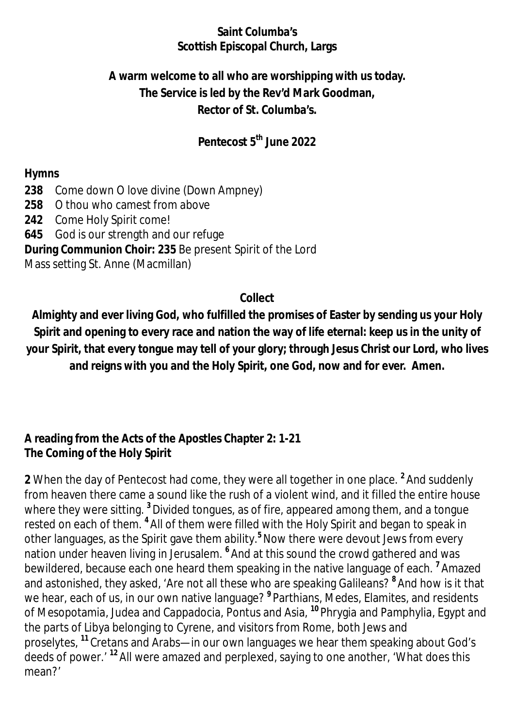#### **Saint Columba's Scottish Episcopal Church, Largs**

# **A warm welcome to all who are worshipping with us today. The Service is led by the Rev'd Mark Goodman, Rector of St. Columba's.**

## **Pentecost 5 th June 2022**

#### **Hymns**

- **238** Come down O love divine (Down Ampney)
- **258** O thou who camest from above
- **242** Come Holy Spirit come!
- **645** God is our strength and our refuge

#### **During Communion Choir: 235** Be present Spirit of the Lord

Mass setting St. Anne (Macmillan)

#### **Collect**

**Almighty and ever living God, who fulfilled the promises of Easter by sending us your Holy Spirit and opening to every race and nation the way of life eternal: keep us in the unity of your Spirit, that every tongue may tell of your glory; through Jesus Christ our Lord, who lives and reigns with you and the Holy Spirit, one God, now and for ever. Amen.**

### **A reading from the Acts of the Apostles Chapter 2: 1-21 The Coming of the Holy Spirit**

**2** When the day of Pentecost had come, they were all together in one place. **<sup>2</sup>** And suddenly from heaven there came a sound like the rush of a violent wind, and it filled the entire house where they were sitting. **<sup>3</sup>** Divided tongues, as of fire, appeared among them, and a tongue rested on each of them. <sup>4</sup> All of them were filled with the Holy Spirit and began to speak in other languages, as the Spirit gave them ability.**<sup>5</sup>**Now there were devout Jews from every nation under heaven living in Jerusalem. **<sup>6</sup>** And at this sound the crowd gathered and was bewildered, because each one heard them speaking in the native language of each. **<sup>7</sup>** Amazed and astonished, they asked, 'Are not all these who are speaking Galileans? **<sup>8</sup>** And how is it that we hear, each of us, in our own native language? **<sup>9</sup>** Parthians, Medes, Elamites, and residents of Mesopotamia, Judea and Cappadocia, Pontus and Asia, **<sup>10</sup>** Phrygia and Pamphylia, Egypt and the parts of Libya belonging to Cyrene, and visitors from Rome, both Jews and proselytes, **<sup>11</sup>** Cretans and Arabs—in our own languages we hear them speaking about God's deeds of power.' **<sup>12</sup>** All were amazed and perplexed, saying to one another, 'What does this mean?'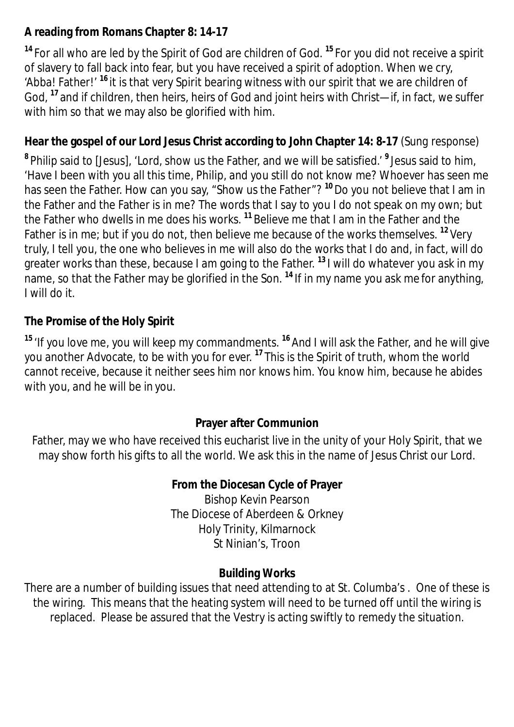## **A reading from Romans Chapter 8: 14-17**

**<sup>14</sup>** For all who are led by the Spirit of God are children of God. **<sup>15</sup>** For you did not receive a spirit of slavery to fall back into fear, but you have received a spirit of adoption. When we cry, 'Abba! Father!' **<sup>16</sup>** it is that very Spirit bearing witness with our spirit that we are children of God, **<sup>17</sup>** and if children, then heirs, heirs of God and joint heirs with Christ—if, in fact, we suffer with him so that we may also be glorified with him.

## **Hear the gospel of our Lord Jesus Christ according to John Chapter 14: 8-17** *(Sung response)*

**8** Philip said to [Jesus], 'Lord, show us the Father, and we will be satisfied.' **<sup>9</sup>** Jesus said to him, 'Have I been with you all this time, Philip, and you still do not know me? Whoever has seen me has seen the Father. How can you say, "Show us the Father"? **<sup>10</sup>**Do you not believe that I am in the Father and the Father is in me? The words that I say to you I do not speak on my own; but the Father who dwells in me does his works. **<sup>11</sup>** Believe me that I am in the Father and the Father is in me; but if you do not, then believe me because of the works themselves. **<sup>12</sup>** Very truly, I tell you, the one who believes in me will also do the works that I do and, in fact, will do greater works than these, because I am going to the Father. **<sup>13</sup>** I will do whatever you ask in my name, so that the Father may be glorified in the Son. **<sup>14</sup>** If in my name you ask me for anything, I will do it.

# **The Promise of the Holy Spirit**

**<sup>15</sup>** 'If you love me, you will keep my commandments. **<sup>16</sup>** And I will ask the Father, and he will give you another Advocate, to be with you for ever. **<sup>17</sup>** This is the Spirit of truth, whom the world cannot receive, because it neither sees him nor knows him. You know him, because he abides with you, and he will be in you.

### **Prayer after Communion**

Father, may we who have received this eucharist live in the unity of your Holy Spirit, that we may show forth his gifts to all the world. We ask this in the name of Jesus Christ our Lord.

## **From the Diocesan Cycle of Prayer**

Bishop Kevin Pearson The Diocese of Aberdeen & Orkney Holy Trinity, Kilmarnock St Ninian's, Troon

### **Building Works**

There are a number of building issues that need attending to at St. Columba's . One of these is the wiring. This means that the heating system will need to be turned off until the wiring is replaced. Please be assured that the Vestry is acting swiftly to remedy the situation.